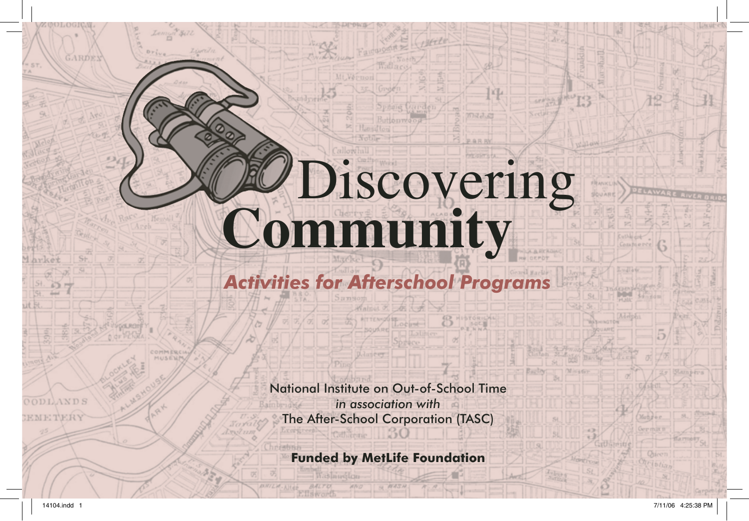# Discovering **Community**

拉山

很

GARDEY

 $57720$ 

**ODLANDS** 

*Activities for Afterschool Programs*

National Institute on Out-of-School Time *in association with* The After-School Corporation (TASC)

**Funded by MetLife Foundation**

haslauglon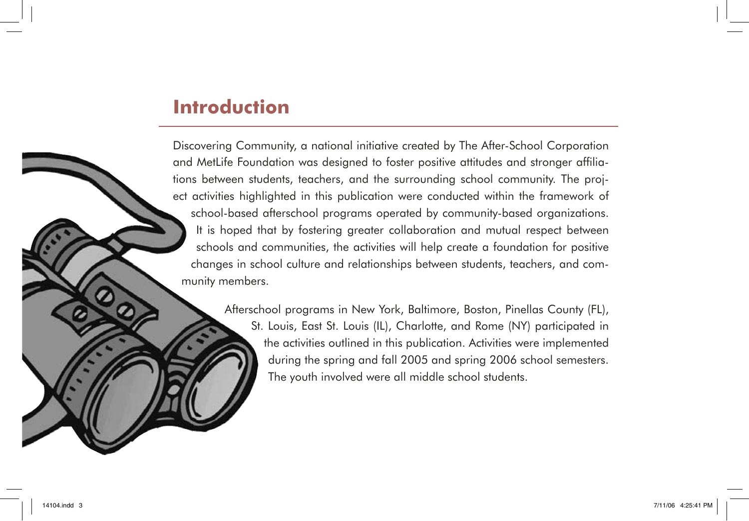## **Introduction**

Discovering Community, a national initiative created by The After-School Corporation and MetLife Foundation was designed to foster positive attitudes and stronger affiliations between students, teachers, and the surrounding school community. The project activities highlighted in this publication were conducted within the framework of school-based afterschool programs operated by community-based organizations. It is hoped that by fostering greater collaboration and mutual respect between schools and communities, the activities will help create a foundation for positive changes in school culture and relationships between students, teachers, and community members.

Afterschool programs in New York, Baltimore, Boston, Pinellas County (FL),

St. Louis, East St. Louis (IL), Charlotte, and Rome (NY) participated in the activities outlined in this publication. Activities were implemented during the spring and fall 2005 and spring 2006 school semesters. The youth involved were all middle school students.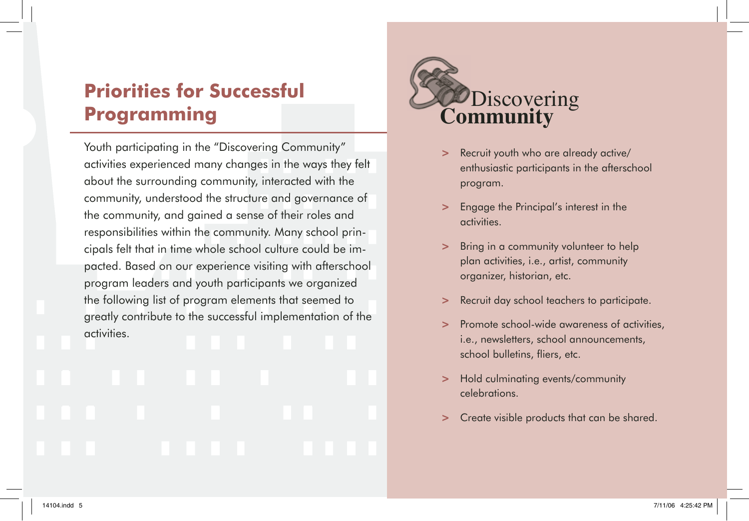# **Priorities for Successful Programming**

Youth participating in the "Discovering Community" activities experienced many changes in the ways they felt about the surrounding community, interacted with the community, understood the structure and governance of the community, and gained a sense of their roles and responsibilities within the community. Many school principals felt that in time whole school culture could be impacted. Based on our experience visiting with afterschool program leaders and youth participants we organized the following list of program elements that seemed to greatly contribute to the successful implementation of the activities.



- **>** Recruit youth who are already active/ enthusiastic participants in the afterschool program.
- **>** Engage the Principal's interest in the activities.
- **>** Bring in a community volunteer to help plan activities, i.e., artist, community organizer, historian, etc.
- **>** Recruit day school teachers to participate.
- **>** Promote school-wide awareness of activities, i.e., newsletters, school announcements, school bulletins, fliers, etc.
- **>** Hold culminating events/community celebrations.
- **>** Create visible products that can be shared.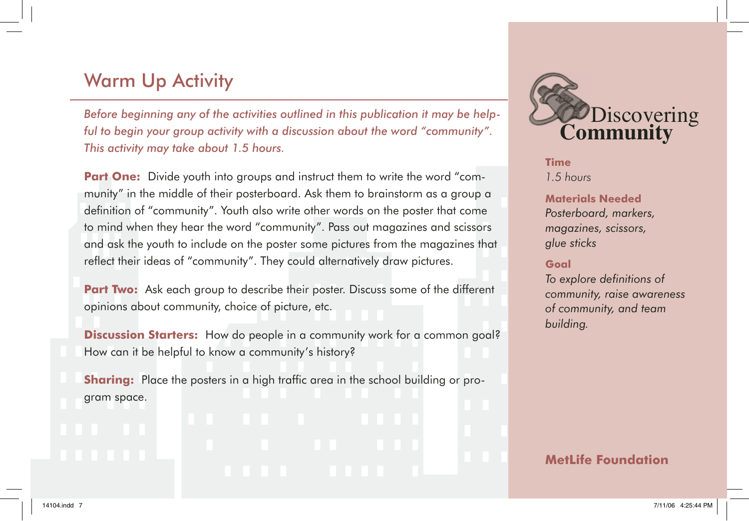# Warm Up Activity

*Before beginning any of the activities outlined in this publication it may be helpful to begin your group activity with a discussion about the word "community". This activity may take about 1.5 hours.*

**Part One:** Divide youth into groups and instruct them to write the word "community" in the middle of their posterboard. Ask them to brainstorm as a group a definition of "community". Youth also write other words on the poster that come to mind when they hear the word "community". Pass out magazines and scissors and ask the youth to include on the poster some pictures from the magazines that reflect their ideas of "community". They could alternatively draw pictures.

**Part Two:** Ask each group to describe their poster. Discuss some of the different opinions about community, choice of picture, etc.

**Discussion Starters:** How do people in a community work for a common goal? How can it be helpful to know a community's history?

**Sharing:** Place the posters in a high traffic area in the school building or program space.



**Time** *1.5 hours*

#### **Materials Needed**

*Posterboard, markers, magazines, scissors, glue sticks*

#### **Goal**

*To explore defi nitions of community, raise awareness of community, and team building.*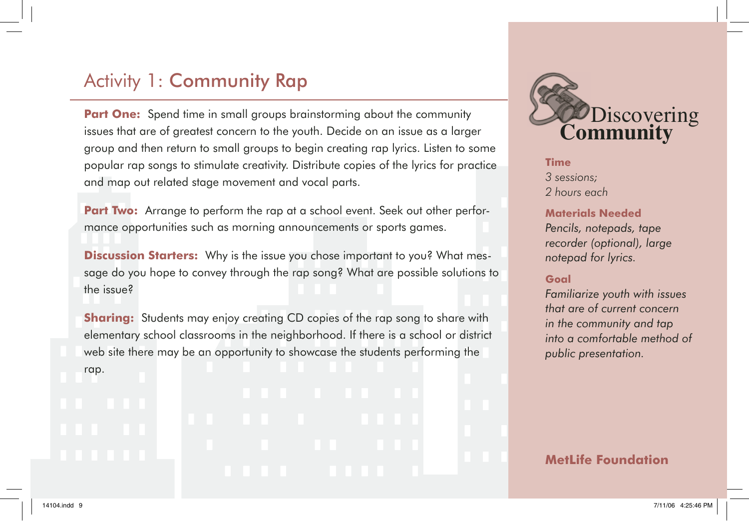# Activity 1: Community Rap

**Part One:** Spend time in small groups brainstorming about the community issues that are of greatest concern to the youth. Decide on an issue as a larger group and then return to small groups to begin creating rap lyrics. Listen to some popular rap songs to stimulate creativity. Distribute copies of the lyrics for practice and map out related stage movement and vocal parts.

**Part Two:** Arrange to perform the rap at a school event. Seek out other performance opportunities such as morning announcements or sports games.

**Discussion Starters:** Why is the issue you chose important to you? What message do you hope to convey through the rap song? What are possible solutions to the issue?

**Sharing:** Students may enjoy creating CD copies of the rap song to share with elementary school classrooms in the neighborhood. If there is a school or district web site there may be an opportunity to showcase the students performing the rap.



**Time** *3 sessions; 2 hours each*

#### **Materials Needed**

*Pencils, notepads, tape recorder (optional), large notepad for lyrics.*

#### **Goal**

*Familiarize youth with issues that are of current concern in the community and tap into a comfortable method of public presentation.*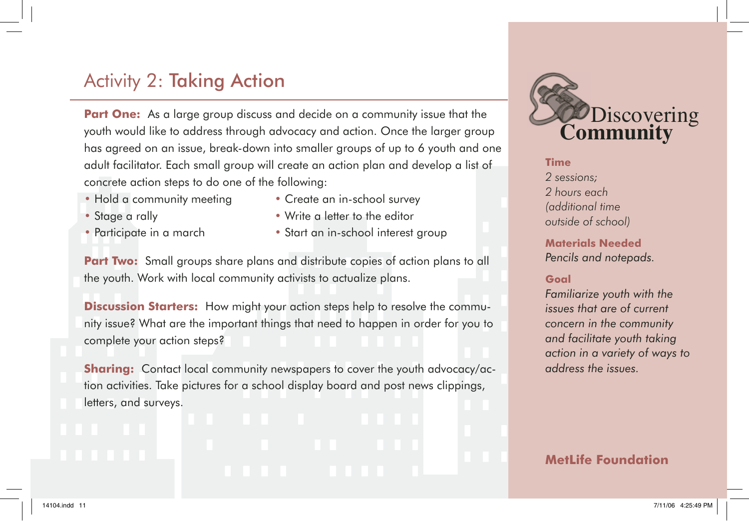# Activity 2: Taking Action

**Part One:** As a large group discuss and decide on a community issue that the youth would like to address through advocacy and action. Once the larger group has agreed on an issue, break-down into smaller groups of up to 6 youth and one adult facilitator. Each small group will create an action plan and develop a list of concrete action steps to do one of the following:

- Hold a community meeting Create an in-school survey
- 
- 
- 
- Stage a rally  **Write a letter to the editor**
- Participate in a march Start an in-school interest group

**Part Two:** Small groups share plans and distribute copies of action plans to all the youth. Work with local community activists to actualize plans.

**Discussion Starters:** How might your action steps help to resolve the community issue? What are the important things that need to happen in order for you to complete your action steps?

**Sharing:** Contact local community newspapers to cover the youth advocacy/action activities. Take pictures for a school display board and post news clippings, letters, and surveys.



#### **Time**

*2 sessions; 2 hours each (additional time outside of school)*

**Materials Needed** *Pencils and notepads.*

### **Goal**

*Familiarize youth with the issues that are of current concern in the community and facilitate youth taking action in a variety of ways to address the issues.*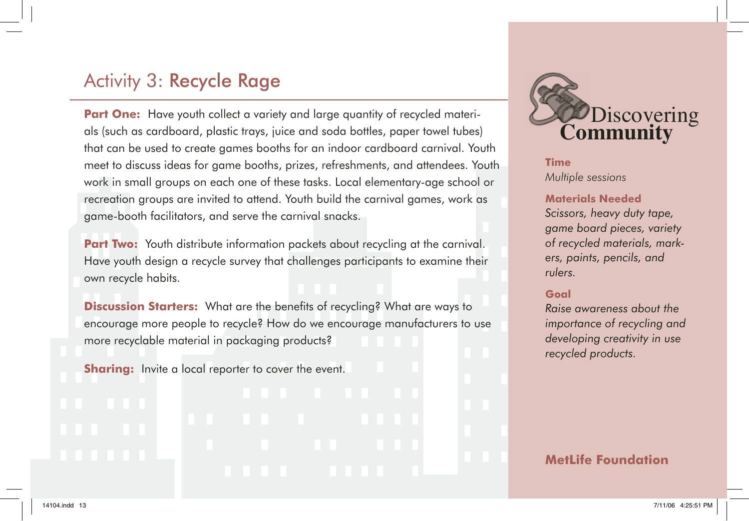## Activity 3: Recycle Rage

**Part One:** Have youth collect a variety and large quantity of recycled materials (such as cardboard, plastic trays, juice and soda bottles, paper towel tubes) that can be used to create games booths for an indoor cardboard carnival. Youth meet to discuss ideas for game booths, prizes, refreshments, and attendees. Youth work in small groups on each one of these tasks. Local elementary-age school or recreation groups are invited to attend. Youth build the carnival games, work as game-booth facilitators, and serve the carnival snacks.

**Part Two:** Youth distribute information packets about recycling at the carnival. Have youth design a recycle survey that challenges participants to examine their own recycle habits.

**Discussion Starters:** What are the benefits of recycling? What are ways to encourage more people to recycle? How do we encourage manufacturers to use more recyclable material in packaging products?

**Sharing:** Invite a local reporter to cover the event.

# Discovering **Community**

**Time** *Multiple sessions*

#### **Materials Needed**

*Scissors, heavy duty tape, game board pieces, variety of recycled materials, markers, paints, pencils, and rulers.*

#### **Goal**

*Raise awareness about the importance of recycling and developing creativity in use recycled products.*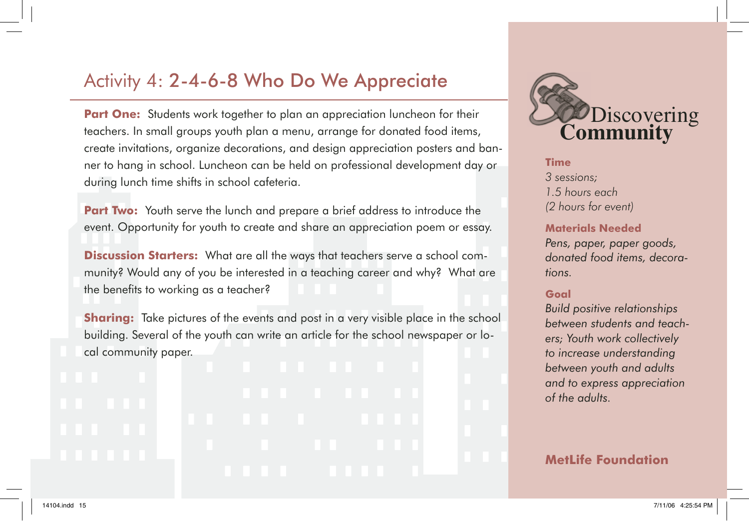## Activity 4: 2-4-6-8 Who Do We Appreciate

**Part One:** Students work together to plan an appreciation luncheon for their teachers. In small groups youth plan a menu, arrange for donated food items, create invitations, organize decorations, and design appreciation posters and banner to hang in school. Luncheon can be held on professional development day or during lunch time shifts in school cafeteria.

**Part Two:** Youth serve the lunch and prepare a brief address to introduce the event. Opportunity for youth to create and share an appreciation poem or essay.

**Discussion Starters:** What are all the ways that teachers serve a school community? Would any of you be interested in a teaching career and why? What are the benefits to working as a teacher?

**Sharing:** Take pictures of the events and post in a very visible place in the school building. Several of the youth can write an article for the school newspaper or local community paper.



**Time** *3 sessions; 1.5 hours each (2 hours for event)*

#### **Materials Needed**

*Pens, paper, paper goods, donated food items, decorations.*

### **Goal**

*Build positive relationships between students and teachers; Youth work collectively to increase understanding between youth and adults and to express appreciation of the adults.*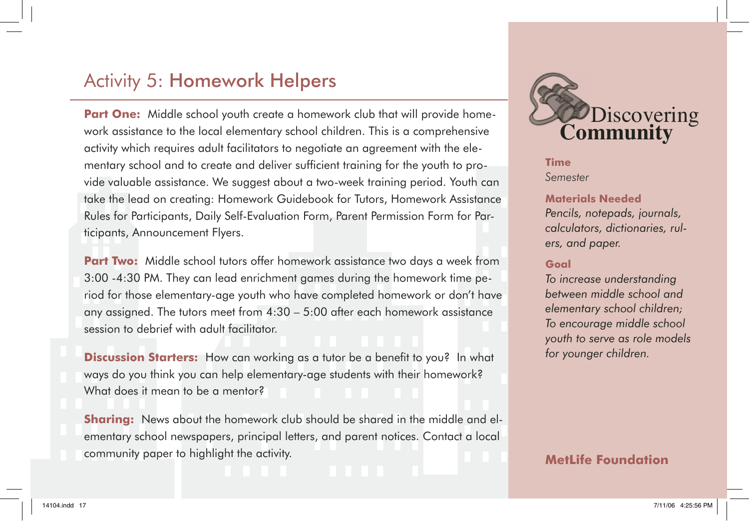## Activity 5: Homework Helpers

**Part One:** Middle school youth create a homework club that will provide homework assistance to the local elementary school children. This is a comprehensive activity which requires adult facilitators to negotiate an agreement with the elementary school and to create and deliver sufficient training for the youth to provide valuable assistance. We suggest about a two-week training period. Youth can take the lead on creating: Homework Guidebook for Tutors, Homework Assistance Rules for Participants, Daily Self-Evaluation Form, Parent Permission Form for Participants, Announcement Flyers.

**Part Two:** Middle school tutors offer homework assistance two days a week from 3:00 -4:30 PM. They can lead enrichment games during the homework time period for those elementary-age youth who have completed homework or don't have any assigned. The tutors meet from 4:30 – 5:00 after each homework assistance session to debrief with adult facilitator.

**Discussion Starters:** How can working as a tutor be a benefit to you? In what ways do you think you can help elementary-age students with their homework? What does it mean to be a mentor?

**Sharing:** News about the homework club should be shared in the middle and elementary school newspapers, principal letters, and parent notices. Contact a local community paper to highlight the activity.



**Time** *Semester*

#### **Materials Needed**

*Pencils, notepads, journals, calculators, dictionaries, rulers, and paper.*

#### **Goal**

*To increase understanding between middle school and elementary school children; To encourage middle school youth to serve as role models for younger children.*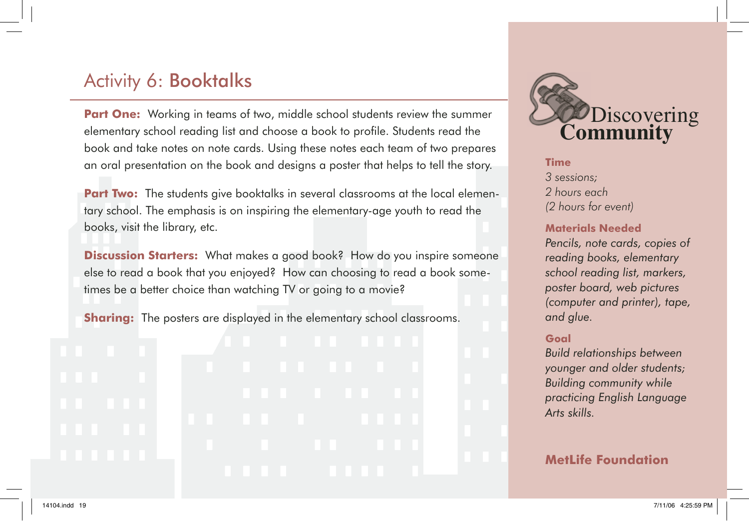# Activity 6: Booktalks

**Part One:** Working in teams of two, middle school students review the summer elementary school reading list and choose a book to profile. Students read the book and take notes on note cards. Using these notes each team of two prepares an oral presentation on the book and designs a poster that helps to tell the story.

**Part Two:** The students give booktalks in several classrooms at the local elementary school. The emphasis is on inspiring the elementary-age youth to read the books, visit the library, etc.

**Discussion Starters:** What makes a good book? How do you inspire someone else to read a book that you enjoyed? How can choosing to read a book sometimes be a better choice than watching TV or going to a movie?

**Sharing:** The posters are displayed in the elementary school classrooms.



**Time** *3 sessions; 2 hours each (2 hours for event)*

#### **Materials Needed**

*Pencils, note cards, copies of reading books, elementary school reading list, markers, poster board, web pictures (computer and printer), tape, and glue.*

#### **Goal**

*Build relationships between younger and older students; Building community while practicing English Language Arts skills.*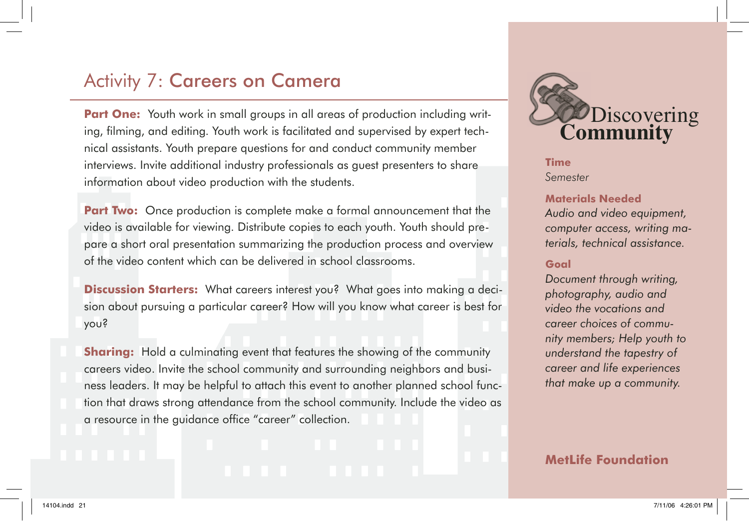## Activity 7: Careers on Camera

**Part One:** Youth work in small groups in all areas of production including writing, filming, and editing. Youth work is facilitated and supervised by expert technical assistants. Youth prepare questions for and conduct community member interviews. Invite additional industry professionals as guest presenters to share information about video production with the students.

**Part Two:** Once production is complete make a formal announcement that the video is available for viewing. Distribute copies to each youth. Youth should prepare a short oral presentation summarizing the production process and overview of the video content which can be delivered in school classrooms.

**Discussion Starters:** What careers interest you? What goes into making a decision about pursuing a particular career? How will you know what career is best for you?

**Sharing:** Hold a culminating event that features the showing of the community careers video. Invite the school community and surrounding neighbors and business leaders. It may be helpful to attach this event to another planned school function that draws strong attendance from the school community. Include the video as a resource in the guidance office "career" collection.

# **Time** Discovering **Community**

*Semester*

### **Materials Needed**

*Audio and video equipment, computer access, writing materials, technical assistance.*

#### **Goal**

*Document through writing, photography, audio and video the vocations and career choices of community members; Help youth to understand the tapestry of career and life experiences that make up a community.*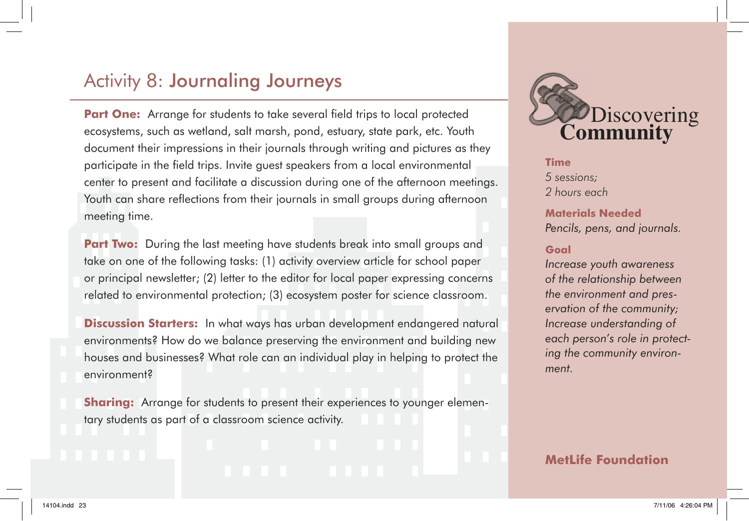## Activity 8: Journaling Journeys

**Part One:** Arrange for students to take several field trips to local protected ecosystems, such as wetland, salt marsh, pond, estuary, state park, etc. Youth document their impressions in their journals through writing and pictures as they participate in the field trips. Invite quest speakers from a local environmental center to present and facilitate a discussion during one of the afternoon meetings. Youth can share reflections from their journals in small aroups during afternoon meeting time.

**Part Two:** During the last meeting have students break into small groups and take on one of the following tasks: (1) activity overview article for school paper or principal newsletter; (2) letter to the editor for local paper expressing concerns related to environmental protection; (3) ecosystem poster for science classroom.

**Discussion Starters:** In what ways has urban development endangered natural environments? How do we balance preserving the environment and building new houses and businesses? What role can an individual play in helping to protect the environment?

**Sharing:** Arrange for students to present their experiences to younger elementary students as part of a classroom science activity.

Discovering **Community**

**Time** *5 sessions; 2 hours each*

**Materials Needed** *Pencils, pens, and journals.*

#### **Goal**

*Increase youth awareness of the relationship between the environment and preservation of the community; Increase understanding of each person's role in protecting the community environment.*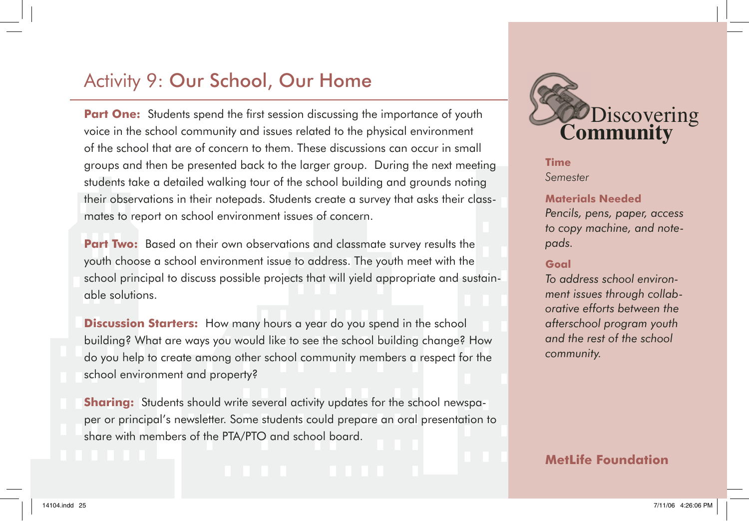# Activity 9: Our School, Our Home

**Part One:** Students spend the first session discussing the importance of youth voice in the school community and issues related to the physical environment of the school that are of concern to them. These discussions can occur in small groups and then be presented back to the larger group. During the next meeting students take a detailed walking tour of the school building and grounds noting their observations in their notepads. Students create a survey that asks their classmates to report on school environment issues of concern.

**Part Two:** Based on their own observations and classmate survey results the youth choose a school environment issue to address. The youth meet with the school principal to discuss possible projects that will yield appropriate and sustainable solutions.

**Discussion Starters:** How many hours a year do you spend in the school building? What are ways you would like to see the school building change? How do you help to create among other school community members a respect for the school environment and property?

**Sharing:** Students should write several activity updates for the school newspaper or principal's newsletter. Some students could prepare an oral presentation to share with members of the PTA/PTO and school board.



**Time** *Semester*

#### **Materials Needed**

*Pencils, pens, paper, access to copy machine, and notepads.*

#### **Goal**

*To address school environment issues through collaborative efforts between the afterschool program youth and the rest of the school community.*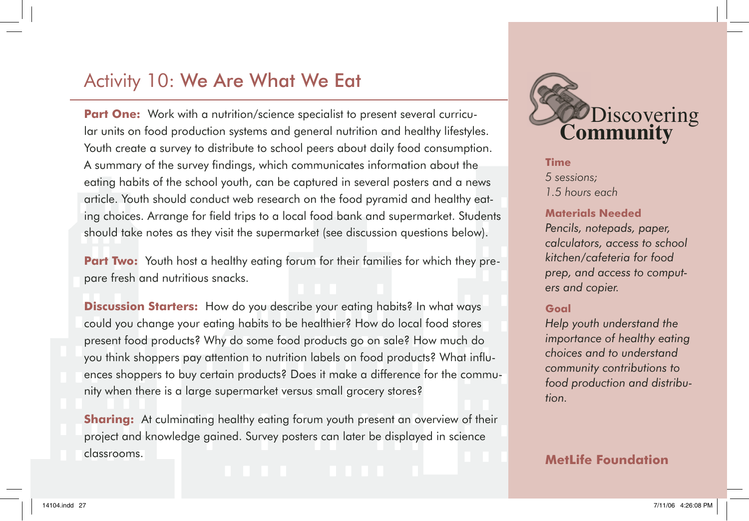## Activity 10: We Are What We Eat

**Part One:** Work with a nutrition/science specialist to present several curricular units on food production systems and general nutrition and healthy lifestyles. Youth create a survey to distribute to school peers about daily food consumption. A summary of the survey findings, which communicates information about the eating habits of the school youth, can be captured in several posters and a news article. Youth should conduct web research on the food pyramid and healthy eating choices. Arrange for field trips to a local food bank and supermarket. Students should take notes as they visit the supermarket (see discussion questions below).

**Part Two:** Youth host a healthy eating forum for their families for which they prepare fresh and nutritious snacks.

**Discussion Starters:** How do you describe your eating habits? In what ways could you change your eating habits to be healthier? How do local food stores present food products? Why do some food products go on sale? How much do you think shoppers pay attention to nutrition labels on food products? What influences shoppers to buy certain products? Does it make a difference for the community when there is a large supermarket versus small grocery stores?

**Sharing:** At culminating healthy eating forum youth present an overview of their project and knowledge gained. Survey posters can later be displayed in science classrooms.



**Time** *5 sessions; 1.5 hours each*

#### **Materials Needed**

*Pencils, notepads, paper, calculators, access to school kitchen/cafeteria for food prep, and access to computers and copier.*

#### **Goal**

*Help youth understand the importance of healthy eating choices and to understand community contributions to food production and distribution.*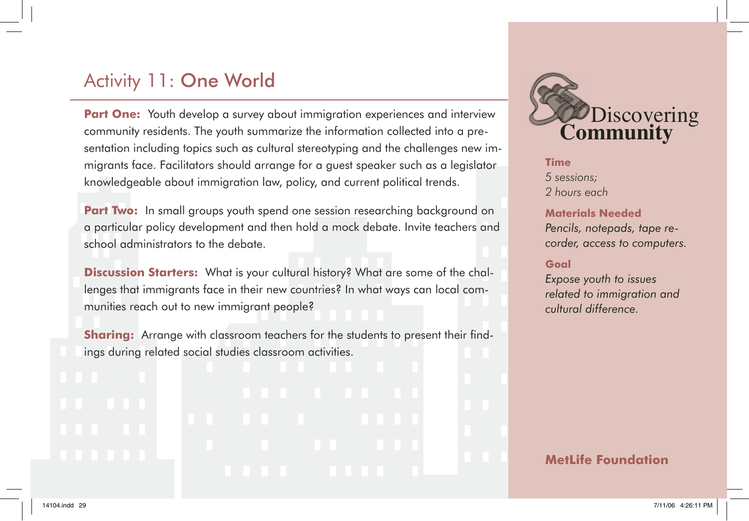# Activity 11: One World

**Part One:** Youth develop a survey about immigration experiences and interview community residents. The youth summarize the information collected into a presentation including topics such as cultural stereotyping and the challenges new immigrants face. Facilitators should arrange for a guest speaker such as a legislator knowledgeable about immigration law, policy, and current political trends.

**Part Two:** In small groups youth spend one session researching background on a particular policy development and then hold a mock debate. Invite teachers and school administrators to the debate.

**Discussion Starters:** What is your cultural history? What are some of the challenges that immigrants face in their new countries? In what ways can local communities reach out to new immigrant people?

**Sharing:** Arrange with classroom teachers for the students to present their findings during related social studies classroom activities.



**Time** *5 sessions; 2 hours each*

#### **Materials Needed**

*Pencils, notepads, tape recorder, access to computers.*

#### **Goal**

*Expose youth to issues related to immigration and cultural difference.*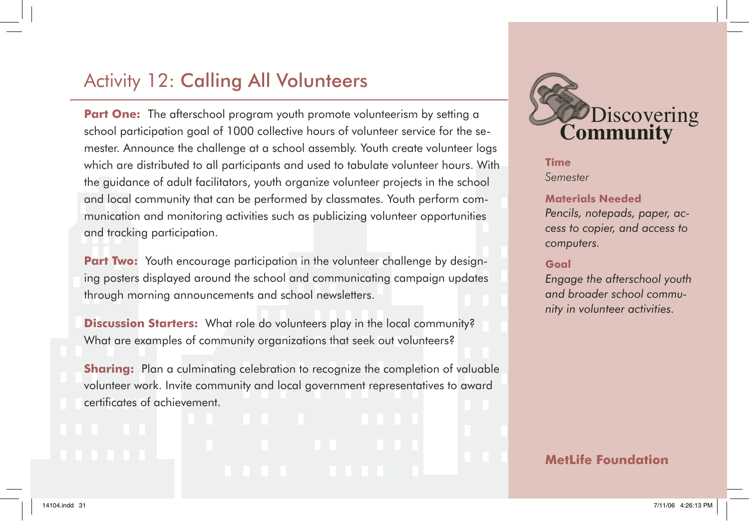# Activity 12: Calling All Volunteers

**Part One:** The afterschool program youth promote volunteerism by setting a school participation goal of 1000 collective hours of volunteer service for the semester. Announce the challenge at a school assembly. Youth create volunteer logs which are distributed to all participants and used to tabulate volunteer hours. With the guidance of adult facilitators, youth organize volunteer projects in the school and local community that can be performed by classmates. Youth perform communication and monitoring activities such as publicizing volunteer opportunities and tracking participation.

**Part Two:** Youth encourage participation in the volunteer challenge by designing posters displayed around the school and communicating campaign updates through morning announcements and school newsletters.

**Discussion Starters:** What role do volunteers play in the local community? What are examples of community organizations that seek out volunteers?

**Sharing:** Plan a culminating celebration to recognize the completion of valuable volunteer work. Invite community and local government representatives to award certificates of achievement.



**Time** *Semester*

#### **Materials Needed**

*Pencils, notepads, paper, access to copier, and access to computers.*

#### **Goal**

*Engage the afterschool youth and broader school community in volunteer activities.*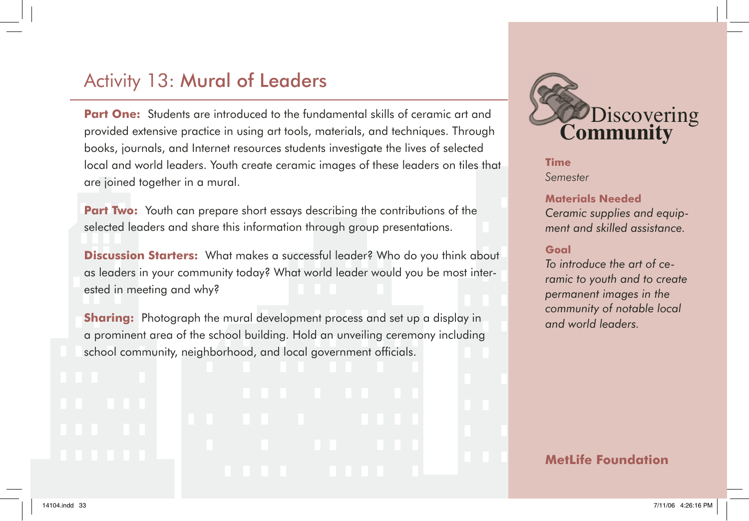# Activity 13: Mural of Leaders

**Part One:** Students are introduced to the fundamental skills of ceramic art and provided extensive practice in using art tools, materials, and techniques. Through books, journals, and Internet resources students investigate the lives of selected local and world leaders. Youth create ceramic images of these leaders on tiles that are joined together in a mural.

**Part Two:** Youth can prepare short essays describing the contributions of the selected leaders and share this information through group presentations.

**Discussion Starters:** What makes a successful leader? Who do you think about as leaders in your community today? What world leader would you be most interested in meeting and why?

**Sharing:** Photograph the mural development process and set up a display in a prominent area of the school building. Hold an unveiling ceremony including school community, neighborhood, and local government officials.



**Time** *Semester*

#### **Materials Needed**

*Ceramic supplies and equipment and skilled assistance.*

#### **Goal**

*To introduce the art of ceramic to youth and to create permanent images in the community of notable local and world leaders.*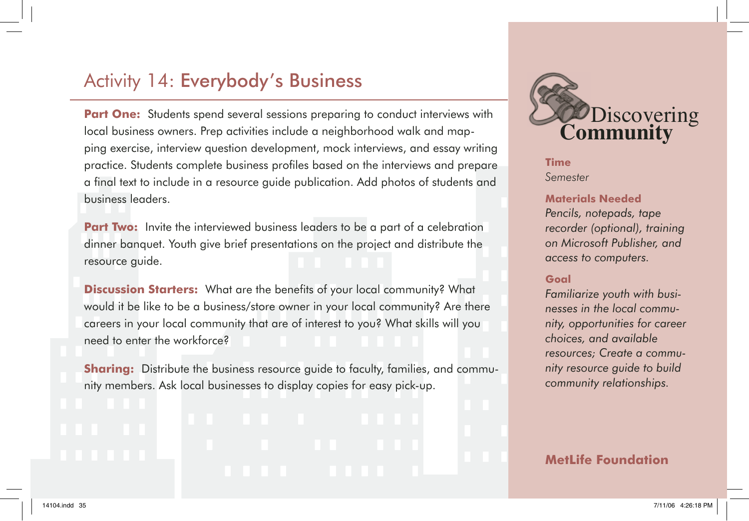## Activity 14: Everybody's Business

**Part One:** Students spend several sessions preparing to conduct interviews with local business owners. Prep activities include a neighborhood walk and mapping exercise, interview question development, mock interviews, and essay writing practice. Students complete business profi les based on the interviews and prepare a final text to include in a resource guide publication. Add photos of students and business leaders.

**Part Two:** Invite the interviewed business leaders to be a part of a celebration dinner banquet. Youth give brief presentations on the project and distribute the resource guide.

**Discussion Starters:** What are the benefits of your local community? What would it be like to be a business/store owner in your local community? Are there careers in your local community that are of interest to you? What skills will you need to enter the workforce?

**Sharing:** Distribute the business resource guide to faculty, families, and community members. Ask local businesses to display copies for easy pick-up.



**Time** *Semester*

#### **Materials Needed**

*Pencils, notepads, tape recorder (optional), training on Microsoft Publisher, and access to computers.*

#### **Goal**

*Familiarize youth with businesses in the local community, opportunities for career choices, and available resources; Create a community resource guide to build community relationships.*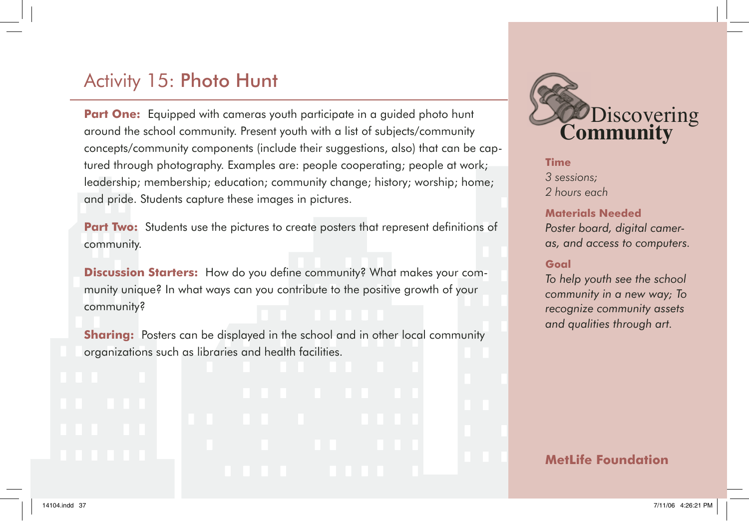# Activity 15: Photo Hunt

**Part One:** Equipped with cameras youth participate in a quided photo hunt around the school community. Present youth with a list of subjects/community concepts/community components (include their suggestions, also) that can be captured through photography. Examples are: people cooperating; people at work; leadership; membership; education; community change; history; worship; home; and pride. Students capture these images in pictures.

**Part Two:** Students use the pictures to create posters that represent definitions of community.

**Discussion Starters:** How do you define community? What makes your community unique? In what ways can you contribute to the positive growth of your community?

**Sharing:** Posters can be displayed in the school and in other local community organizations such as libraries and health facilities.



**Time** *3 sessions; 2 hours each*

#### **Materials Needed**

*Poster board, digital cameras, and access to computers.*

#### **Goal**

*To help youth see the school community in a new way; To recognize community assets and qualities through art.*